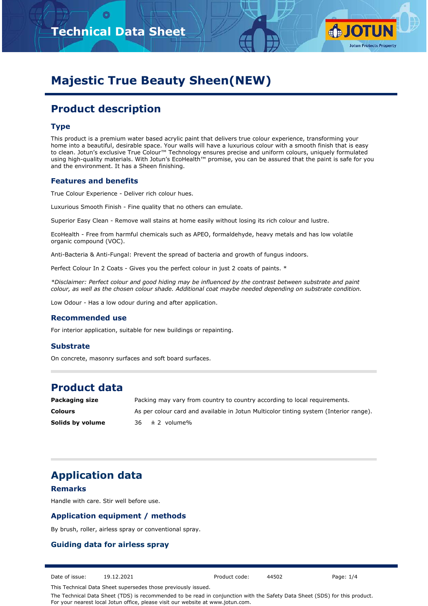



# **Majestic True Beauty Sheen(NEW)**

# **Product description**

#### **Type**

This product is a premium water based acrylic paint that delivers true colour experience, transforming your home into a beautiful, desirable space. Your walls will have a luxurious colour with a smooth finish that is easy to clean. Jotun's exclusive True Colour™ Technology ensures precise and uniform colours, uniquely formulated using high-quality materials. With Jotun's EcoHealth™ promise, you can be assured that the paint is safe for you and the environment. It has a Sheen finishing.

#### **Features and benefits**

True Colour Experience - Deliver rich colour hues.

Luxurious Smooth Finish - Fine quality that no others can emulate.

Superior Easy Clean - Remove wall stains at home easily without losing its rich colour and lustre.

EcoHealth - Free from harmful chemicals such as APEO, formaldehyde, heavy metals and has low volatile organic compound (VOC).

Anti-Bacteria & Anti-Fungal: Prevent the spread of bacteria and growth of fungus indoors.

Perfect Colour In 2 Coats - Gives you the perfect colour in just 2 coats of paints. \*

*\*Disclaimer: Perfect colour and good hiding may be influenced by the contrast between substrate and paint colour, as well as the chosen colour shade. Additional coat maybe needed depending on substrate condition.*

Low Odour - Has a low odour during and after application.

#### **Recommended use**

For interior application, suitable for new buildings or repainting.

#### **Substrate**

On concrete, masonry surfaces and soft board surfaces.

## **Product data**

| Packaging size   | Packing may vary from country to country according to local requirements.             |
|------------------|---------------------------------------------------------------------------------------|
| <b>Colours</b>   | As per colour card and available in Jotun Multicolor tinting system (Interior range). |
| Solids by volume | $36 \pm 2$ volume%                                                                    |

## **Application data**

#### **Remarks**

Handle with care. Stir well before use.

#### **Application equipment / methods**

By brush, roller, airless spray or conventional spray.

#### **Guiding data for airless spray**

Date of issue: 19.12.2021 Product code: 44502 Page: 1/4

This Technical Data Sheet supersedes those previously issued.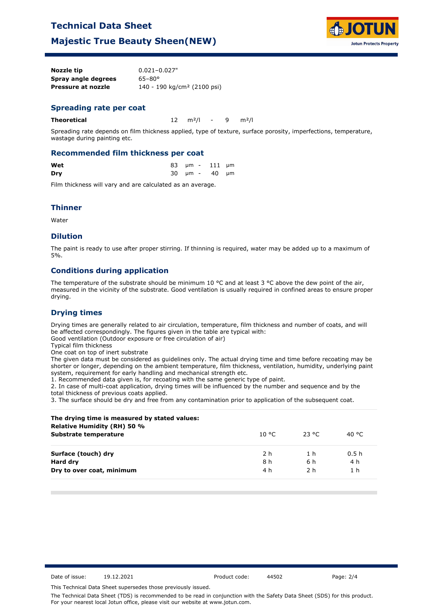# **Technical Data Sheet**

## **Majestic True Beauty Sheen(NEW)**



| Nozzle tip          | $0.021 - 0.027"$                        |
|---------------------|-----------------------------------------|
| Spray angle degrees | $65 - 80^{\circ}$                       |
| Pressure at nozzle  | 140 - 190 kg/cm <sup>2</sup> (2100 psi) |

#### **Spreading rate per coat**

**Theoretical** 12 m²/l - 9 m²/l

Spreading rate depends on film thickness applied, type of texture, surface porosity, imperfections, temperature, wastage during painting etc.

#### **Recommended film thickness per coat**

| Wet |  | 83 µm - 111 µm        |  |
|-----|--|-----------------------|--|
| Dry |  | $30 \mu m - 40 \mu m$ |  |

Film thickness will vary and are calculated as an average.

#### **Thinner**

Water

#### **Dilution**

The paint is ready to use after proper stirring. If thinning is required, water may be added up to a maximum of 5%.

### **Conditions during application**

The temperature of the substrate should be minimum 10 °C and at least 3 °C above the dew point of the air, measured in the vicinity of the substrate. Good ventilation is usually required in confined areas to ensure proper drying.

#### **Drying times**

Drying times are generally related to air circulation, temperature, film thickness and number of coats, and will be affected correspondingly. The figures given in the table are typical with:

Good ventilation (Outdoor exposure or free circulation of air)

Typical film thickness

One coat on top of inert substrate

The given data must be considered as guidelines only. The actual drying time and time before recoating may be shorter or longer, depending on the ambient temperature, film thickness, ventilation, humidity, underlying paint system, requirement for early handling and mechanical strength etc.

1. Recommended data given is, for recoating with the same generic type of paint.

2. In case of multi-coat application, drying times will be influenced by the number and sequence and by the total thickness of previous coats applied.

3. The surface should be dry and free from any contamination prior to application of the subsequent coat.

| The drying time is measured by stated values:<br><b>Relative Humidity (RH) 50 %</b> |        |        |                  |
|-------------------------------------------------------------------------------------|--------|--------|------------------|
| Substrate temperature                                                               | 10 °C. | -23 °C | 40 °C            |
| Surface (touch) dry                                                                 | 2 h    | 1 h    | 0.5 <sub>h</sub> |
| Hard dry                                                                            | 8 h    | 6 h    | 4 h              |
| Dry to over coat, minimum                                                           | 4 h    | 2 h    | 1 <sub>h</sub>   |

Date of issue: 19.12.2021 Product code: 44502 Page: 2/4

This Technical Data Sheet supersedes those previously issued.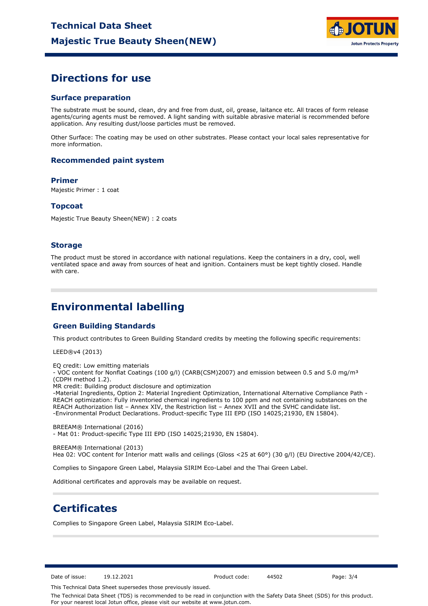

## **Directions for use**

#### **Surface preparation**

The substrate must be sound, clean, dry and free from dust, oil, grease, laitance etc. All traces of form release agents/curing agents must be removed. A light sanding with suitable abrasive material is recommended before application. Any resulting dust/loose particles must be removed.

Other Surface: The coating may be used on other substrates. Please contact your local sales representative for more information.

#### **Recommended paint system**

#### **Primer**

Majestic Primer : 1 coat

#### **Topcoat**

Majestic True Beauty Sheen(NEW) : 2 coats

#### **Storage**

The product must be stored in accordance with national regulations. Keep the containers in a dry, cool, well ventilated space and away from sources of heat and ignition. Containers must be kept tightly closed. Handle with care.

## **Environmental labelling**

#### **Green Building Standards**

This product contributes to Green Building Standard credits by meeting the following specific requirements:

LEED®v4 (2013)

EQ credit: Low emitting materials

- VOC content for Nonflat Coatings (100 g/l) (CARB(CSM)2007) and emission between 0.5 and 5.0 mg/m<sup>3</sup> (CDPH method 1.2).

MR credit: Building product disclosure and optimization

-Material Ingredients, Option 2: Material Ingredient Optimization, International Alternative Compliance Path - REACH optimization: Fully inventoried chemical ingredients to 100 ppm and not containing substances on the REACH Authorization list – Annex XIV, the Restriction list – Annex XVII and the SVHC candidate list. -Environmental Product Declarations. Product-specific Type III EPD (ISO 14025;21930, EN 15804).

BREEAM® International (2016) - Mat 01: Product-specific Type III EPD (ISO 14025;21930, EN 15804).

BREEAM® International (2013)

Hea 02: VOC content for Interior matt walls and ceilings (Gloss <25 at 60°) (30 g/l) (EU Directive 2004/42/CE).

Complies to Singapore Green Label, Malaysia SIRIM Eco-Label and the Thai Green Label.

Additional certificates and approvals may be available on request.

## **Certificates**

Complies to Singapore Green Label, Malaysia SIRIM Eco-Label.

Date of issue: 19.12.2021 Product code: 44502 Page: 3/4

This Technical Data Sheet supersedes those previously issued.